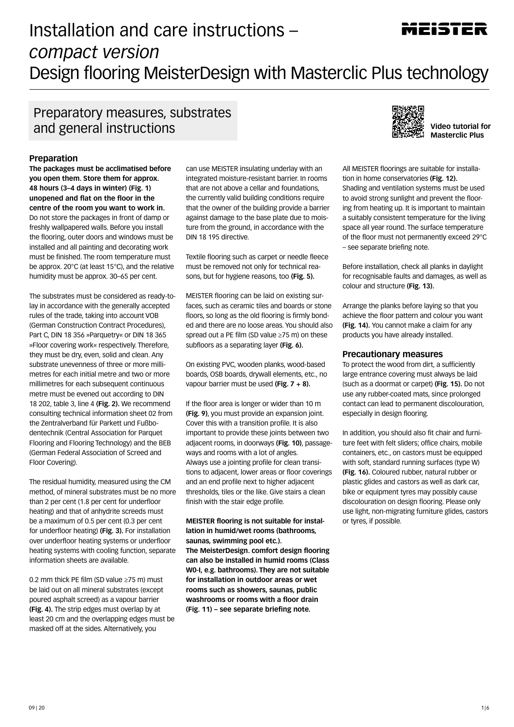# Installation and care instructions – *compact version*  Design flooring MeisterDesign with Masterclic Plus technology

### Preparatory measures, substrates and general instructions **Video tutorial for all the set of all of the set of all of the set of all of the set o**

#### **Preparation**

**The packages must be acclimatised before you open them. Store them for approx. 48 hours (3–4 days in winter) (Fig. 1) unopened and flat on the floor in the centre of the room you want to work in.** Do not store the packages in front of damp or freshly wallpapered walls. Before you install the flooring, outer doors and windows must be installed and all painting and decorating work must be finished. The room temperature must be approx. 20°C (at least 15°C), and the relative humidity must be approx. 30–65 per cent.

The substrates must be considered as ready-tolay in accordance with the generally accepted rules of the trade, taking into account VOB (German Construction Contract Procedures), Part C, DIN 18 356 »Parquetry« or DIN 18 365 »Floor covering work« respectively. Therefore, they must be dry, even, solid and clean. Any substrate unevenness of three or more millimetres for each initial metre and two or more millimetres for each subsequent continuous metre must be evened out according to DIN 18 202, table 3, line 4 **(Fig. 2).** We recommend consulting technical information sheet 02 from the Zentralverband für Parkett und Fußbodentechnik (Central Association for Parquet Flooring and Flooring Technology) and the BEB (German Federal Association of Screed and Floor Covering).

The residual humidity, measured using the CM method, of mineral substrates must be no more than 2 per cent (1.8 per cent for underfloor heating) and that of anhydrite screeds must be a maximum of 0.5 per cent (0.3 per cent for underfloor heating) **(Fig. 3).** For installation over underfloor heating systems or underfloor heating systems with cooling function, separate information sheets are available.

0.2 mm thick PE film (SD value ≥75 m) must be laid out on all mineral substrates (except poured asphalt screed) as a vapour barrier **(Fig. 4).** The strip edges must overlap by at least 20 cm and the overlapping edges must be masked off at the sides. Alternatively, you

can use MEISTER insulating underlay with an integrated moisture-resistant barrier. In rooms that are not above a cellar and foundations, the currently valid building conditions require that the owner of the building provide a barrier against damage to the base plate due to moisture from the ground, in accordance with the DIN 18 195 directive.

Textile flooring such as carpet or needle fleece must be removed not only for technical reasons, but for hygiene reasons, too **(Fig. 5).** 

MEISTER flooring can be laid on existing surfaces, such as ceramic tiles and boards or stone floors, so long as the old flooring is firmly bonded and there are no loose areas. You should also spread out a PE film (SD value ≥75 m) on these subfloors as a separating layer **(Fig. 6).**

On existing PVC, wooden planks, wood-based boards, OSB boards, drywall elements, etc., no vapour barrier must be used **(Fig. 7 + 8).**

If the floor area is longer or wider than 10 m **(Fig. 9)**, you must provide an expansion joint. Cover this with a transition profile. It is also important to provide these joints between two adjacent rooms, in doorways **(Fig. 10)**, passageways and rooms with a lot of angles. Always use a jointing profile for clean transitions to adjacent, lower areas or floor coverings and an end profile next to higher adjacent thresholds, tiles or the like. Give stairs a clean finish with the stair edge profile.

**MEISTER flooring is not suitable for installation in humid/wet rooms (bathrooms, saunas, swimming pool etc.). The MeisterDesign. comfort design flooring can also be installed in humid rooms (Class W0-I, e.g. bathrooms). They are not suitable** 

**for installation in outdoor areas or wet rooms such as showers, saunas, public washrooms or rooms with a floor drain (Fig. 11) – see separate briefing note.**



**Masterclic Plus**

All MEISTER floorings are suitable for installation in home conservatories **(Fig. 12).** Shading and ventilation systems must be used to avoid strong sunlight and prevent the flooring from heating up. It is important to maintain a suitably consistent temperature for the living space all year round. The surface temperature of the floor must not permanently exceed 29°C – see separate briefing note.

Before installation, check all planks in daylight for recognisable faults and damages, as well as colour and structure **(Fig. 13).** 

Arrange the planks before laying so that you achieve the floor pattern and colour you want **(Fig. 14).** You cannot make a claim for any products you have already installed.

#### **Precautionary measures**

To protect the wood from dirt, a sufficiently large entrance covering must always be laid (such as a doormat or carpet) **(Fig. 15).** Do not use any rubber-coated mats, since prolonged contact can lead to permanent discolouration, especially in design flooring.

In addition, you should also fit chair and furniture feet with felt sliders; office chairs, mobile containers, etc., on castors must be equipped with soft, standard running surfaces (type W) **(Fig. 16).** Coloured rubber, natural rubber or plastic glides and castors as well as dark car, bike or equipment tyres may possibly cause discolouration on design flooring. Please only use light, non-migrating furniture glides, castors or tyres, if possible.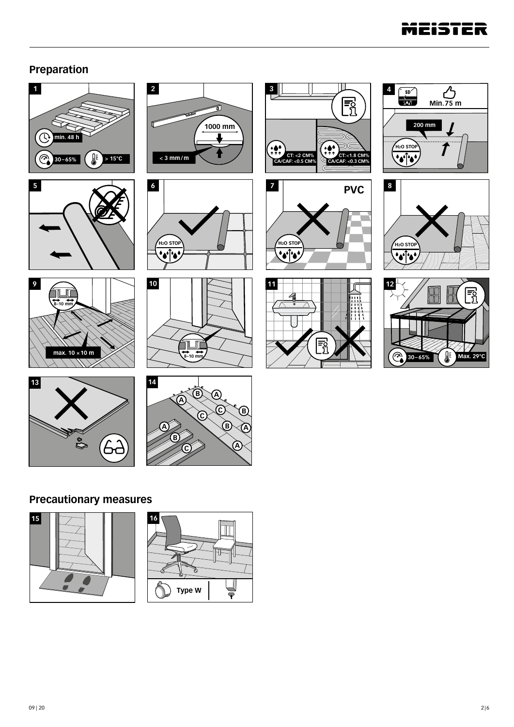

### **Preparation**





























### **Precautionary measures**



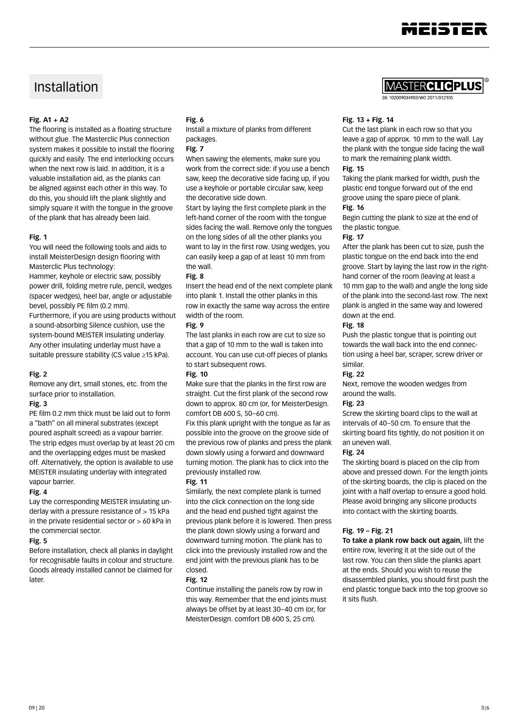

### Installation

#### **Fig. A1 + A2**

The flooring is installed as a floating structure without glue. The Masterclic Plus connection system makes it possible to install the flooring quickly and easily. The end interlocking occurs when the next row is laid. In addition, it is a valuable installation aid, as the planks can be aligned against each other in this way. To do this, you should lift the plank slightly and simply square it with the tongue in the groove of the plank that has already been laid.

#### **Fig. 1**

You will need the following tools and aids to install MeisterDesign design flooring with Masterclic Plus technology:

Hammer, keyhole or electric saw, possibly power drill, folding metre rule, pencil, wedges (spacer wedges), heel bar, angle or adjustable bevel, possibly PE film (0.2 mm).

Furthermore, if you are using products without a sound-absorbing Silence cushion, use the system-bound MEISTER insulating underlay. Any other insulating underlay must have a suitable pressure stability (CS value ≥15 kPa).

#### **Fig. 2**

Remove any dirt, small stones, etc. from the surface prior to installation.

#### **Fig. 3**

PE film 0.2 mm thick must be laid out to form a "bath" on all mineral substrates (except poured asphalt screed) as a vapour barrier. The strip edges must overlap by at least 20 cm and the overlapping edges must be masked off. Alternatively, the option is available to use MEISTER insulating underlay with integrated vapour barrier.

#### **Fig. 4**

Lay the corresponding MEISTER insulating underlay with a pressure resistance of > 15 kPa in the private residential sector or  $> 60$  kPa in the commercial sector.

#### **Fig. 5**

Before installation, check all planks in daylight for recognisable faults in colour and structure. Goods already installed cannot be claimed for later.

#### **Fig. 6**

Install a mixture of planks from different packages.

#### **Fig. 7**

When sawing the elements, make sure you work from the correct side: if you use a bench saw, keep the decorative side facing up, if you use a keyhole or portable circular saw, keep the decorative side down.

Start by laying the first complete plank in the left-hand corner of the room with the tongue sides facing the wall. Remove only the tongues on the long sides of all the other planks you want to lay in the first row. Using wedges, you can easily keep a gap of at least 10 mm from the wall.

#### **Fig. 8**

Insert the head end of the next complete plank into plank 1. Install the other planks in this row in exactly the same way across the entire width of the room.

#### **Fig. 9**

The last planks in each row are cut to size so that a gap of 10 mm to the wall is taken into account. You can use cut-off pieces of planks to start subsequent rows.

#### **Fig. 10**

Make sure that the planks in the first row are straight. Cut the first plank of the second row down to approx. 80 cm (or, for MeisterDesign. comfort DB 600 S, 50–60 cm).

Fix this plank upright with the tongue as far as possible into the groove on the groove side of the previous row of planks and press the plank down slowly using a forward and downward turning motion. The plank has to click into the previously installed row.

#### **Fig. 11**

Similarly, the next complete plank is turned into the click connection on the long side and the head end pushed tight against the previous plank before it is lowered. Then press the plank down slowly using a forward and downward turning motion. The plank has to click into the previously installed row and the end joint with the previous plank has to be closed.

#### **Fig. 12**

Continue installing the panels row by row in this way. Remember that the end joints must always be offset by at least 30–40 cm (or, for MeisterDesign. comfort DB 600 S, 25 cm).

Asterclic**plus** 

102009034903/WO 2011/01210

#### **Fig. 13 + Fig. 14**

Cut the last plank in each row so that you leave a gap of approx. 10 mm to the wall. Lay the plank with the tongue side facing the wall to mark the remaining plank width. **Fig. 15**

Taking the plank marked for width, push the plastic end tongue forward out of the end groove using the spare piece of plank. **Fig. 16**

Begin cutting the plank to size at the end of the plastic tongue.

#### **Fig. 17**

After the plank has been cut to size, push the plastic tongue on the end back into the end groove. Start by laying the last row in the righthand corner of the room (leaving at least a 10 mm gap to the wall) and angle the long side of the plank into the second-last row. The next plank is angled in the same way and lowered down at the end.

#### **Fig. 18**

Push the plastic tongue that is pointing out towards the wall back into the end connection using a heel bar, scraper, screw driver or similar.

#### **Fig. 22**

Next, remove the wooden wedges from around the walls.

#### **Fig. 23**

Screw the skirting board clips to the wall at intervals of 40–50 cm. To ensure that the skirting board fits tightly, do not position it on an uneven wall.

#### **Fig. 24**

The skirting board is placed on the clip from above and pressed down. For the length joints of the skirting boards, the clip is placed on the joint with a half overlap to ensure a good hold. Please avoid bringing any silicone products into contact with the skirting boards.

#### **Fig. 19 – Fig. 21**

**To take a plank row back out again,** lift the entire row, levering it at the side out of the last row. You can then slide the planks apart at the ends. Should you wish to reuse the disassembled planks, you should first push the end plastic tongue back into the top groove so it sits flush.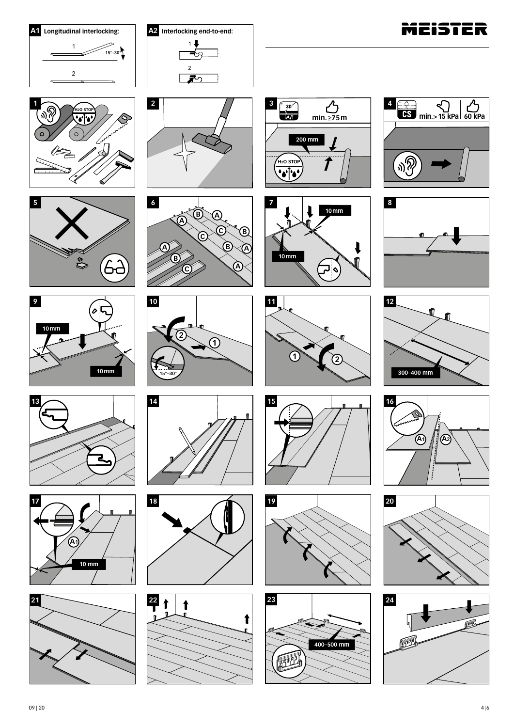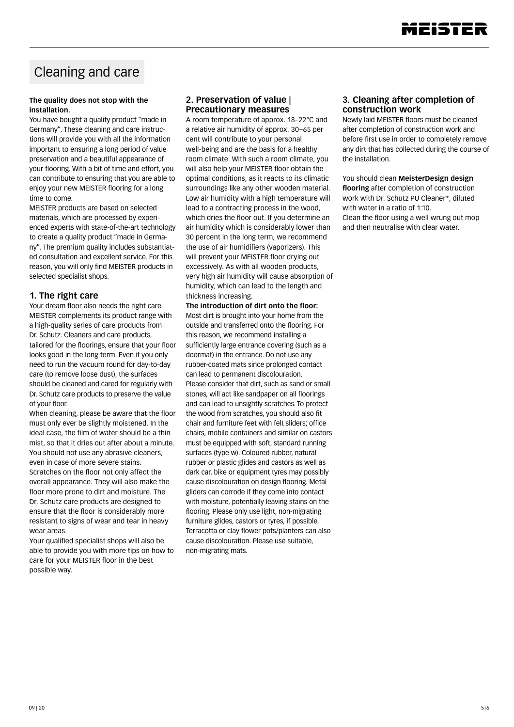

## Cleaning and care

#### **The quality does not stop with the installation.**

You have bought a quality product "made in Germany". These cleaning and care instructions will provide you with all the information important to ensuring a long period of value preservation and a beautiful appearance of your flooring. With a bit of time and effort, you can contribute to ensuring that you are able to enjoy your new MEISTER flooring for a long time to come.

MEISTER products are based on selected materials, which are processed by experienced experts with state-of-the-art technology to create a quality product "made in Germany". The premium quality includes substantiated consultation and excellent service. For this reason, you will only find MEISTER products in selected specialist shops.

#### **1. The right care**

Your dream floor also needs the right care. MEISTER complements its product range with a high-quality series of care products from Dr. Schutz. Cleaners and care products, tailored for the floorings, ensure that your floor looks good in the long term. Even if you only need to run the vacuum round for day-to-day care (to remove loose dust), the surfaces should be cleaned and cared for regularly with Dr. Schutz care products to preserve the value of your floor.

When cleaning, please be aware that the floor must only ever be slightly moistened. In the ideal case, the film of water should be a thin mist, so that it dries out after about a minute. You should not use any abrasive cleaners, even in case of more severe stains.

Scratches on the floor not only affect the overall appearance. They will also make the floor more prone to dirt and moisture. The Dr. Schutz care products are designed to ensure that the floor is considerably more resistant to signs of wear and tear in heavy wear areas.

Your qualified specialist shops will also be able to provide you with more tips on how to care for your MEISTER floor in the best possible way.

#### **2. Preservation of value | Precautionary measures**

A room temperature of approx. 18–22°C and a relative air humidity of approx. 30–65 per cent will contribute to your personal well-being and are the basis for a healthy room climate. With such a room climate, you will also help your MEISTER floor obtain the optimal conditions, as it reacts to its climatic surroundings like any other wooden material. Low air humidity with a high temperature will lead to a contracting process in the wood, which dries the floor out. If you determine an air humidity which is considerably lower than 30 percent in the long term, we recommend the use of air humidifiers (vaporizers). This will prevent your MEISTER floor drying out excessively. As with all wooden products, very high air humidity will cause absorption of humidity, which can lead to the length and thickness increasing.

**The introduction of dirt onto the floor:** Most dirt is brought into your home from the outside and transferred onto the flooring. For this reason, we recommend installing a sufficiently large entrance covering (such as a doormat) in the entrance. Do not use any rubber-coated mats since prolonged contact can lead to permanent discolouration. Please consider that dirt, such as sand or small stones, will act like sandpaper on all floorings and can lead to unsightly scratches. To protect the wood from scratches, you should also fit chair and furniture feet with felt sliders; office chairs, mobile containers and similar on castors must be equipped with soft, standard running surfaces (type w). Coloured rubber, natural rubber or plastic glides and castors as well as dark car, bike or equipment tyres may possibly cause discolouration on design flooring. Metal gliders can corrode if they come into contact with moisture, potentially leaving stains on the flooring. Please only use light, non-migrating furniture glides, castors or tyres, if possible. Terracotta or clay flower pots/planters can also cause discolouration. Please use suitable, non-migrating mats.

#### **3. Cleaning after completion of construction work**

Newly laid MEISTER floors must be cleaned after completion of construction work and before first use in order to completely remove any dirt that has collected during the course of the installation.

You should clean **MeisterDesign design flooring** after completion of construction work with Dr. Schutz PU Cleaner\*, diluted with water in a ratio of 1:10. Clean the floor using a well wrung out mop and then neutralise with clear water.